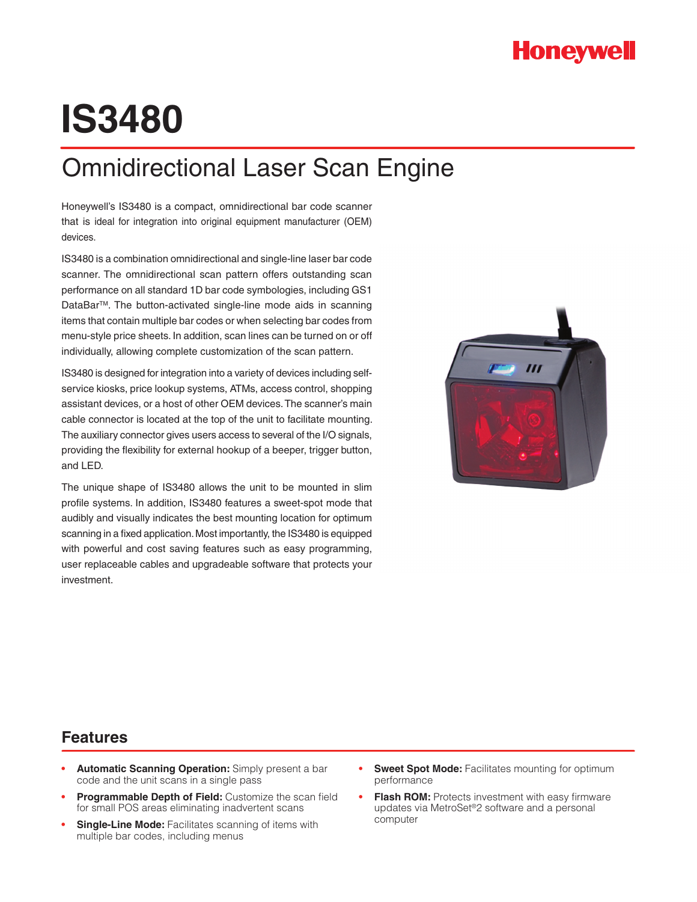# **IS3480**

## Omnidirectional Laser Scan Engine

Honeywell's IS3480 is a compact, omnidirectional bar code scanner that is ideal for integration into original equipment manufacturer (OEM) devices.

IS3480 is a combination omnidirectional and single-line laser bar code scanner. The omnidirectional scan pattern offers outstanding scan performance on all standard 1D bar code symbologies, including GS1 DataBar™. The button-activated single-line mode aids in scanning items that contain multiple bar codes or when selecting bar codes from menu-style price sheets. In addition, scan lines can be turned on or off individually, allowing complete customization of the scan pattern.

IS3480 is designed for integration into a variety of devices including selfservice kiosks, price lookup systems, ATMs, access control, shopping assistant devices, or a host of other OEM devices. The scanner's main cable connector is located at the top of the unit to facilitate mounting. The auxiliary connector gives users access to several of the I/O signals, providing the flexibility for external hookup of a beeper, trigger button, and LED.

The unique shape of IS3480 allows the unit to be mounted in slim profile systems. In addition, IS3480 features a sweet-spot mode that audibly and visually indicates the best mounting location for optimum scanning in a fixed application. Most importantly, the IS3480 is equipped with powerful and cost saving features such as easy programming, user replaceable cables and upgradeable software that protects your investment.



### **Features**

- **Automatic Scanning Operation:** Simply present a bar code and the unit scans in a single pass
- **Programmable Depth of Field:** Customize the scan field for small POS areas eliminating inadvertent scans
- **Single-Line Mode:** Facilitates scanning of items with multiple bar codes, including menus
- **Sweet Spot Mode:** Facilitates mounting for optimum performance
- **Flash ROM:** Protects investment with easy firmware updates via MetroSet®2 software and a personal computer